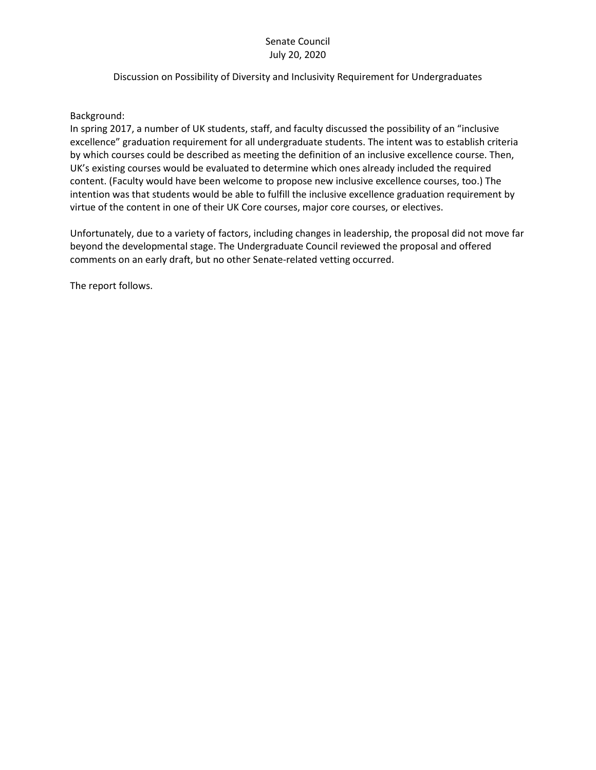### Senate Council July 20, 2020

### Discussion on Possibility of Diversity and Inclusivity Requirement for Undergraduates

### Background:

In spring 2017, a number of UK students, staff, and faculty discussed the possibility of an "inclusive excellence" graduation requirement for all undergraduate students. The intent was to establish criteria by which courses could be described as meeting the definition of an inclusive excellence course. Then, UK's existing courses would be evaluated to determine which ones already included the required content. (Faculty would have been welcome to propose new inclusive excellence courses, too.) The intention was that students would be able to fulfill the inclusive excellence graduation requirement by virtue of the content in one of their UK Core courses, major core courses, or electives.

Unfortunately, due to a variety of factors, including changes in leadership, the proposal did not move far beyond the developmental stage. The Undergraduate Council reviewed the proposal and offered comments on an early draft, but no other Senate-related vetting occurred.

The report follows.